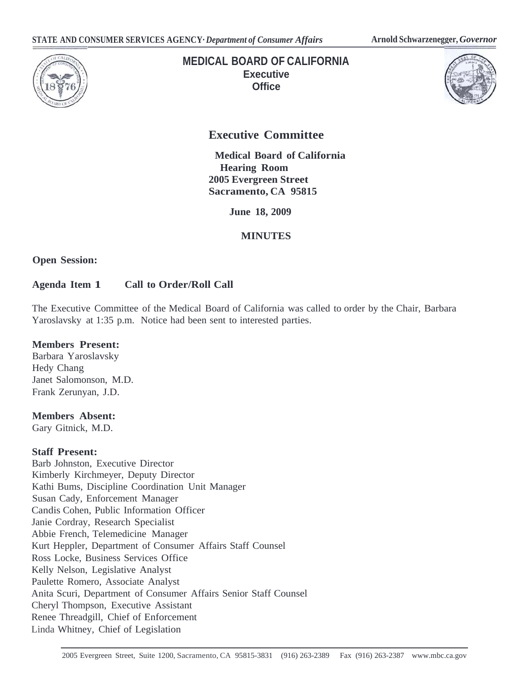

# **MEDICAL BOARD OF CALIFORNIA Executive Office**



# **Executive Committee**

**Medical Board of California Hearing Room 2005 Evergreen Street Sacramento, CA 95815**

 **June 18, 2009** 

# **MINUTES**

**Open Session:** 

# **Agenda Item 1 Call to Order/Roll Call**

The Executive Committee of the Medical Board of California was called to order by the Chair, Barbara Yaroslavsky at 1:35 p.m. Notice had been sent to interested parties.

## **Members Present:**

Barbara Yaroslavsky Hedy Chang Janet Salomonson, M.D. Frank Zerunyan, J.D.

# **Members Absent:**

Gary Gitnick, M.D.

#### **Staff Present:**

Barb Johnston, Executive Director Kimberly Kirchmeyer, Deputy Director Kathi Bums, Discipline Coordination Unit Manager Susan Cady, Enforcement Manager Candis Cohen, Public Information Officer Janie Cordray, Research Specialist Abbie French, Telemedicine Manager Kurt Heppler, Department of Consumer Affairs Staff Counsel Ross Locke, Business Services Office Kelly Nelson, Legislative Analyst Paulette Romero, Associate Analyst Anita Scuri, Department of Consumer Affairs Senior Staff Counsel Cheryl Thompson, Executive Assistant Renee Threadgill, Chief of Enforcement Linda Whitney, Chief of Legislation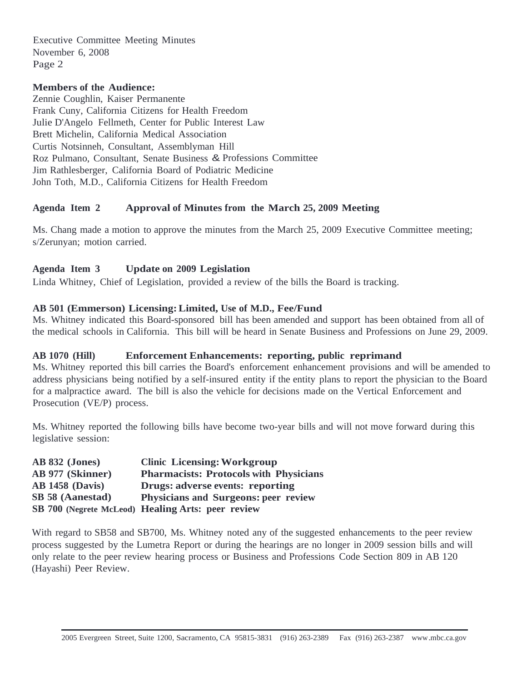#### **Members of the Audience:**

Zennie Coughlin, Kaiser Permanente Frank Cuny, California Citizens for Health Freedom Julie D'Angelo Fellmeth, Center for Public Interest Law Brett Michelin, California Medical Association Curtis Notsinneh, Consultant, Assemblyman Hill Roz Pulmano, Consultant, Senate Business & Professions Committee Jim Rathlesberger, California Board of Podiatric Medicine John Toth, M.D., California Citizens for Health Freedom

#### **Agenda Item 2 Approval of Minutes from the March 25, 2009 Meeting**

Ms. Chang made a motion to approve the minutes from the March 25, 2009 Executive Committee meeting; s/Zerunyan; motion carried.

#### **Agenda Item 3 Update on 2009 Legislation**

Linda Whitney, Chief of Legislation, provided a review of the bills the Board is tracking.

#### **AB 501 (Emmerson) Licensing: Limited, Use of M.D., Fee/Fund**

Ms. Whitney indicated this Board-sponsored bill has been amended and support has been obtained from all of the medical schools in California. This bill will be heard in Senate Business and Professions on June 29, 2009.

#### **AB 1070 (Hill) Enforcement Enhancements: reporting, public reprimand**

Ms. Whitney reported this bill carries the Board's enforcement enhancement provisions and will be amended to address physicians being notified by a self-insured entity if the entity plans to report the physician to the Board for a malpractice award. The bill is also the vehicle for decisions made on the Vertical Enforcement and Prosecution (VE/P) process.

Ms. Whitney reported the following bills have become two-year bills and will not move forward during this legislative session:

| <b>AB 832 (Jones)</b>   | <b>Clinic Licensing: Workgroup</b>                |
|-------------------------|---------------------------------------------------|
| AB 977 (Skinner)        | <b>Pharmacists: Protocols with Physicians</b>     |
| <b>AB 1458 (Davis)</b>  | Drugs: adverse events: reporting                  |
| <b>SB 58 (Aanestad)</b> | <b>Physicians and Surgeons: peer review</b>       |
|                         | SB 700 (Negrete McLeod) Healing Arts: peer review |

With regard to SB58 and SB700, Ms. Whitney noted any of the suggested enhancements to the peer review process suggested by the Lumetra Report or during the hearings are no longer in 2009 session bills and will only relate to the peer review hearing process or Business and Professions Code Section 809 in AB 120 (Hayashi) Peer Review.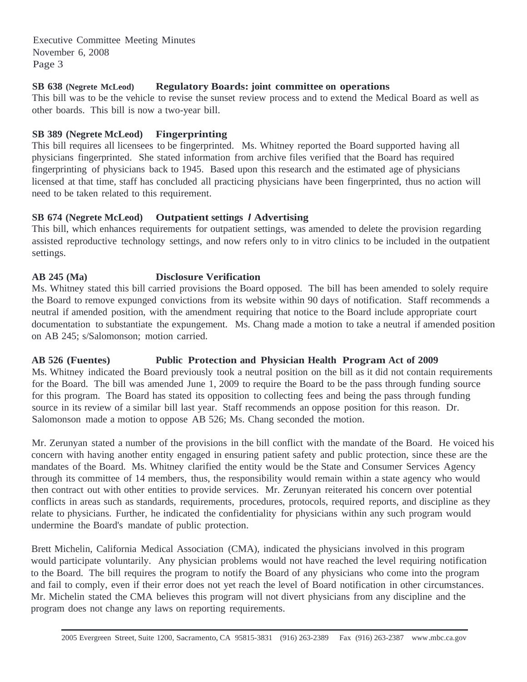#### **SB 638 (Negrete McLeod) Regulatory Boards: joint committee on operations**

This bill was to be the vehicle to revise the sunset review process and to extend the Medical Board as well as other boards. This bill is now a two-year bill.

#### **SB 389 (Negrete McLeod) Fingerprinting**

This bill requires all licensees to be fingerprinted. Ms. Whitney reported the Board supported having all physicians fingerprinted. She stated information from archive files verified that the Board has required fingerprinting of physicians back to 1945. Based upon this research and the estimated age of physicians licensed at that time, staff has concluded all practicing physicians have been fingerprinted, thus no action will need to be taken related to this requirement.

### **SB 674 (Negrete McLeod) Outpatient settings** *I* **Advertising**

This bill, which enhances requirements for outpatient settings, was amended to delete the provision regarding assisted reproductive technology settings, and now refers only to in vitro clinics to be included in the outpatient settings.

### **AB 245 (Ma) Disclosure Verification**

Ms. Whitney stated this bill carried provisions the Board opposed. The bill has been amended to solely require the Board to remove expunged convictions from its website within 90 days of notification. Staff recommends a neutral if amended position, with the amendment requiring that notice to the Board include appropriate court documentation to substantiate the expungement. Ms. Chang made a motion to take a neutral if amended position on AB 245; s/Salomonson; motion carried.

**AB 526 (Fuentes) Public Protection and Physician Health Program Act of 2009**  Ms. Whitney indicated the Board previously took a neutral position on the bill as it did not contain requirements for the Board. The bill was amended June 1, 2009 to require the Board to be the pass through funding source for this program. The Board has stated its opposition to collecting fees and being the pass through funding source in its review of a similar bill last year. Staff recommends an oppose position for this reason. Dr. Salomonson made a motion to oppose AB 526; Ms. Chang seconded the motion.

Mr. Zerunyan stated a number of the provisions in the bill conflict with the mandate of the Board. He voiced his concern with having another entity engaged in ensuring patient safety and public protection, since these are the mandates of the Board. Ms. Whitney clarified the entity would be the State and Consumer Services Agency through its committee of 14 members, thus, the responsibility would remain within a state agency who would then contract out with other entities to provide services. Mr. Zerunyan reiterated his concern over potential conflicts in areas such as standards, requirements, procedures, protocols, required reports, and discipline as they relate to physicians. Further, he indicated the confidentiality for physicians within any such program would undermine the Board's mandate of public protection.

Brett Michelin, California Medical Association (CMA), indicated the physicians involved in this program would participate voluntarily. Any physician problems would not have reached the level requiring notification to the Board. The bill requires the program to notify the Board of any physicians who come into the program and fail to comply, even if their error does not yet reach the level of Board notification in other circumstances. Mr. Michelin stated the CMA believes this program will not divert physicians from any discipline and the program does not change any laws on reporting requirements.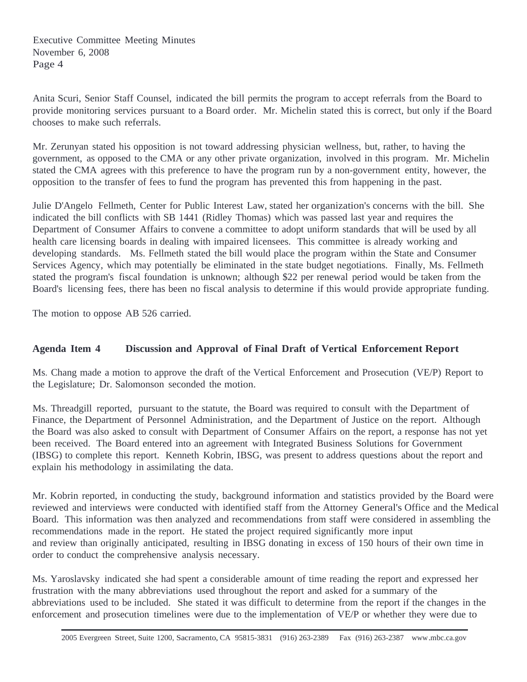Anita Scuri, Senior Staff Counsel, indicated the bill permits the program to accept referrals from the Board to provide monitoring services pursuant to a Board order. Mr. Michelin stated this is correct, but only if the Board chooses to make such referrals.

Mr. Zerunyan stated his opposition is not toward addressing physician wellness, but, rather, to having the government, as opposed to the CMA or any other private organization, involved in this program. Mr. Michelin stated the CMA agrees with this preference to have the program run by a non-government entity, however, the opposition to the transfer of fees to fund the program has prevented this from happening in the past.

Julie D'Angelo Fellmeth, Center for Public Interest Law, stated her organization's concerns with the bill. She indicated the bill conflicts with SB 1441 (Ridley Thomas) which was passed last year and requires the Department of Consumer Affairs to convene a committee to adopt uniform standards that will be used by all health care licensing boards in dealing with impaired licensees. This committee is already working and developing standards. Ms. Fellmeth stated the bill would place the program within the State and Consumer Services Agency, which may potentially be eliminated in the state budget negotiations. Finally, Ms. Fellmeth stated the program's fiscal foundation is unknown; although \$22 per renewal period would be taken from the Board's licensing fees, there has been no fiscal analysis to determine if this would provide appropriate funding.

The motion to oppose AB 526 carried.

# **Agenda Item 4 Discussion and Approval of Final Draft of Vertical Enforcement Report**

Ms. Chang made a motion to approve the draft of the Vertical Enforcement and Prosecution (VE/P) Report to the Legislature; Dr. Salomonson seconded the motion.

Ms. Threadgill reported, pursuant to the statute, the Board was required to consult with the Department of Finance, the Department of Personnel Administration, and the Department of Justice on the report. Although the Board was also asked to consult with Department of Consumer Affairs on the report, a response has not yet been received. The Board entered into an agreement with Integrated Business Solutions for Government (IBSG) to complete this report. Kenneth Kobrin, IBSG, was present to address questions about the report and explain his methodology in assimilating the data.

Mr. Kobrin reported, in conducting the study, background information and statistics provided by the Board were reviewed and interviews were conducted with identified staff from the Attorney General's Office and the Medical Board. This information was then analyzed and recommendations from staff were considered in assembling the recommendations made in the report. He stated the project required significantly more input and review than originally anticipated, resulting in IBSG donating in excess of 150 hours of their own time in order to conduct the comprehensive analysis necessary.

Ms. Yaroslavsky indicated she had spent a considerable amount of time reading the report and expressed her frustration with the many abbreviations used throughout the report and asked for a summary of the abbreviations used to be included. She stated it was difficult to determine from the report if the changes in the enforcement and prosecution timelines were due to the implementation of VE/P or whether they were due to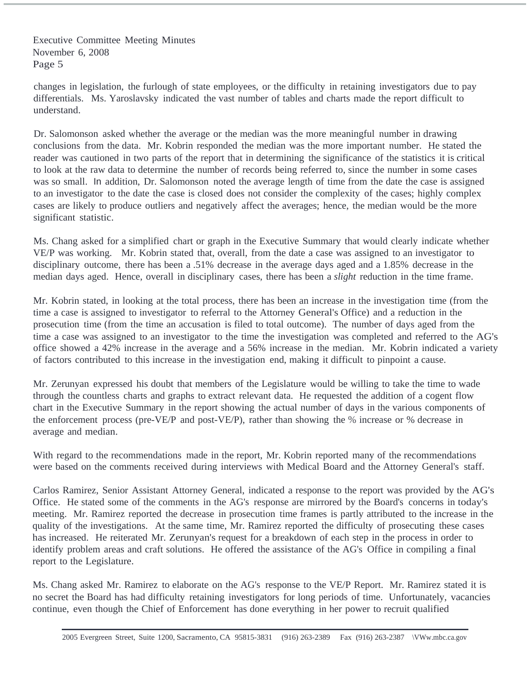changes in legislation, the furlough of state employees, or the difficulty in retaining investigators due to pay differentials. Ms. Yaroslavsky indicated the vast number of tables and charts made the report difficult to understand.

Dr. Salomonson asked whether the average or the median was the more meaningful number in drawing conclusions from the data. Mr. Kobrin responded the median was the more important number. He stated the reader was cautioned in two parts of the report that in determining the significance of the statistics it is critical to look at the raw data to determine the number of records being referred to, since the number in some cases was so small. In addition, Dr. Salomonson noted the average length of time from the date the case is assigned to an investigator to the date the case is closed does not consider the complexity of the cases; highly complex cases are likely to produce outliers and negatively affect the averages; hence, the median would be the more significant statistic.

Ms. Chang asked for a simplified chart or graph in the Executive Summary that would clearly indicate whether VE/P was working. Mr. Kobrin stated that, overall, from the date a case was assigned to an investigator to disciplinary outcome, there has been a .51% decrease in the average days aged and a 1.85% decrease in the median days aged. Hence, overall in disciplinary cases, there has been a *slight* reduction in the time frame.

Mr. Kobrin stated, in looking at the total process, there has been an increase in the investigation time (from the time a case is assigned to investigator to referral to the Attorney General's Office) and a reduction in the prosecution time (from the time an accusation is filed to total outcome). The number of days aged from the time a case was assigned to an investigator to the time the investigation was completed and referred to the AG's office showed a 42% increase in the average and a 56% increase in the median. Mr. Kobrin indicated a variety of factors contributed to this increase in the investigation end, making it difficult to pinpoint a cause.

Mr. Zerunyan expressed his doubt that members of the Legislature would be willing to take the time to wade through the countless charts and graphs to extract relevant data. He requested the addition of a cogent flow chart in the Executive Summary in the report showing the actual number of days in the various components of the enforcement process (pre-VE/P and post-VE/P), rather than showing the % increase or % decrease in average and median.

With regard to the recommendations made in the report, Mr. Kobrin reported many of the recommendations were based on the comments received during interviews with Medical Board and the Attorney General's staff.

Carlos Ramirez, Senior Assistant Attorney General, indicated a response to the report was provided by the AG's Office. He stated some of the comments in the AG's response are mirrored by the Board's concerns in today's meeting. Mr. Ramirez reported the decrease in prosecution time frames is partly attributed to the increase in the quality of the investigations. At the same time, Mr. Ramirez reported the difficulty of prosecuting these cases has increased. He reiterated Mr. Zerunyan's request for a breakdown of each step in the process in order to identify problem areas and craft solutions. He offered the assistance of the AG's Office in compiling a final report to the Legislature.

Ms. Chang asked Mr. Ramirez to elaborate on the AG's response to the VE/P Report. Mr. Ramirez stated it is no secret the Board has had difficulty retaining investigators for long periods of time. Unfortunately, vacancies continue, even though the Chief of Enforcement has done everything in her power to recruit qualified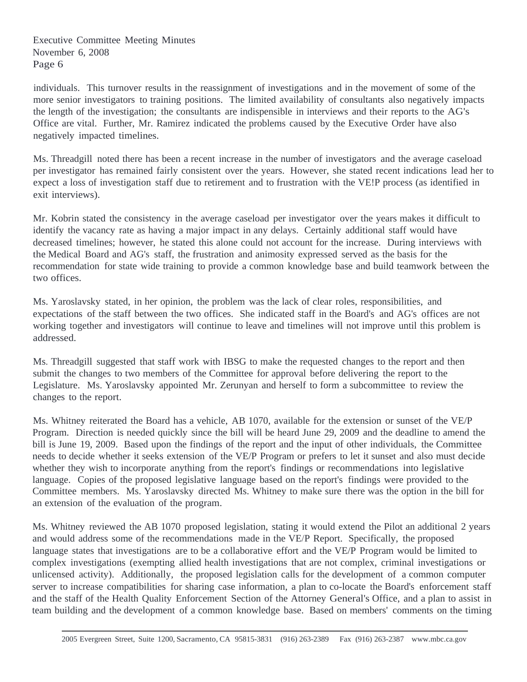individuals. This turnover results in the reassignment of investigations and in the movement of some of the more senior investigators to training positions. The limited availability of consultants also negatively impacts the length of the investigation; the consultants are indispensible in interviews and their reports to the AG's Office are vital. Further, Mr. Ramirez indicated the problems caused by the Executive Order have also negatively impacted timelines.

Ms. Threadgill noted there has been a recent increase in the number of investigators and the average caseload per investigator has remained fairly consistent over the years. However, she stated recent indications lead her to expect a loss of investigation staff due to retirement and to frustration with the VE!P process (as identified in exit interviews).

Mr. Kobrin stated the consistency in the average caseload per investigator over the years makes it difficult to identify the vacancy rate as having a major impact in any delays. Certainly additional staff would have decreased timelines; however, he stated this alone could not account for the increase. During interviews with the Medical Board and AG's staff, the frustration and animosity expressed served as the basis for the recommendation for state wide training to provide a common knowledge base and build teamwork between the two offices.

Ms. Yaroslavsky stated, in her opinion, the problem was the lack of clear roles, responsibilities, and expectations of the staff between the two offices. She indicated staff in the Board's and AG's offices are not working together and investigators will continue to leave and timelines will not improve until this problem is addressed.

Ms. Threadgill suggested that staff work with IBSG to make the requested changes to the report and then submit the changes to two members of the Committee for approval before delivering the report to the Legislature. Ms. Yaroslavsky appointed Mr. Zerunyan and herself to form a subcommittee to review the changes to the report.

Ms. Whitney reiterated the Board has a vehicle, AB 1070, available for the extension or sunset of the VE/P Program. Direction is needed quickly since the bill will be heard June 29, 2009 and the deadline to amend the bill is June 19, 2009. Based upon the findings of the report and the input of other individuals, the Committee needs to decide whether it seeks extension of the VE/P Program or prefers to let it sunset and also must decide whether they wish to incorporate anything from the report's findings or recommendations into legislative language. Copies of the proposed legislative language based on the report's findings were provided to the Committee members. Ms. Yaroslavsky directed Ms. Whitney to make sure there was the option in the bill for an extension of the evaluation of the program.

Ms. Whitney reviewed the AB 1070 proposed legislation, stating it would extend the Pilot an additional 2 years and would address some of the recommendations made in the VE/P Report. Specifically, the proposed language states that investigations are to be a collaborative effort and the VE/P Program would be limited to complex investigations (exempting allied health investigations that are not complex, criminal investigations or unlicensed activity). Additionally, the proposed legislation calls for the development of a common computer server to increase compatibilities for sharing case information, a plan to co-locate the Board's enforcement staff and the staff of the Health Quality Enforcement Section of the Attorney General's Office, and a plan to assist in team building and the development of a common knowledge base. Based on members' comments on the timing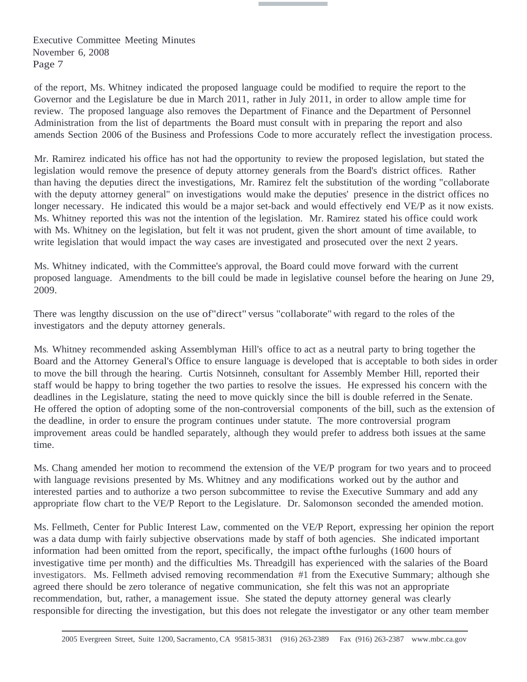of the report, Ms. Whitney indicated the proposed language could be modified to require the report to the Governor and the Legislature be due in March 2011, rather in July 2011, in order to allow ample time for review. The proposed language also removes the Department of Finance and the Department of Personnel Administration from the list of departments the Board must consult with in preparing the report and also amends Section 2006 of the Business and Professions Code to more accurately reflect the investigation process.

Mr. Ramirez indicated his office has not had the opportunity to review the proposed legislation, but stated the legislation would remove the presence of deputy attorney generals from the Board's district offices. Rather than having the deputies direct the investigations, Mr. Ramirez felt the substitution of the wording "collaborate with the deputy attorney general" on investigations would make the deputies' presence in the district offices no longer necessary. He indicated this would be a major set-back and would effectively end VE/P as it now exists. Ms. Whitney reported this was not the intention of the legislation. Mr. Ramirez stated his office could work with Ms. Whitney on the legislation, but felt it was not prudent, given the short amount of time available, to write legislation that would impact the way cases are investigated and prosecuted over the next 2 years.

Ms. Whitney indicated, with the Committee's approval, the Board could move forward with the current proposed language. Amendments to the bill could be made in legislative counsel before the hearing on June 29, 2009.

There was lengthy discussion on the use of"direct" versus "collaborate" with regard to the roles of the investigators and the deputy attorney generals.

Ms. Whitney recommended asking Assemblyman Hill's office to act as a neutral party to bring together the Board and the Attorney General's Office to ensure language is developed that is acceptable to both sides in order to move the bill through the hearing. Curtis Notsinneh, consultant for Assembly Member Hill, reported their staff would be happy to bring together the two parties to resolve the issues. He expressed his concern with the deadlines in the Legislature, stating the need to move quickly since the bill is double referred in the Senate. He offered the option of adopting some of the non-controversial components of the bill, such as the extension of the deadline, in order to ensure the program continues under statute. The more controversial program improvement areas could be handled separately, although they would prefer to address both issues at the same time.

Ms. Chang amended her motion to recommend the extension of the VE/P program for two years and to proceed with language revisions presented by Ms. Whitney and any modifications worked out by the author and interested parties and to authorize a two person subcommittee to revise the Executive Summary and add any appropriate flow chart to the VE/P Report to the Legislature. Dr. Salomonson seconded the amended motion.

Ms. Fellmeth, Center for Public Interest Law, commented on the VE/P Report, expressing her opinion the report was a data dump with fairly subjective observations made by staff of both agencies. She indicated important information had been omitted from the report, specifically, the impact ofthe furloughs (1600 hours of investigative time per month) and the difficulties Ms. Threadgill has experienced with the salaries of the Board investigators. Ms. Fellmeth advised removing recommendation #1 from the Executive Summary; although she agreed there should be zero tolerance of negative communication, she felt this was not an appropriate recommendation, but, rather, a management issue. She stated the deputy attorney general was clearly responsible for directing the investigation, but this does not relegate the investigator or any other team member